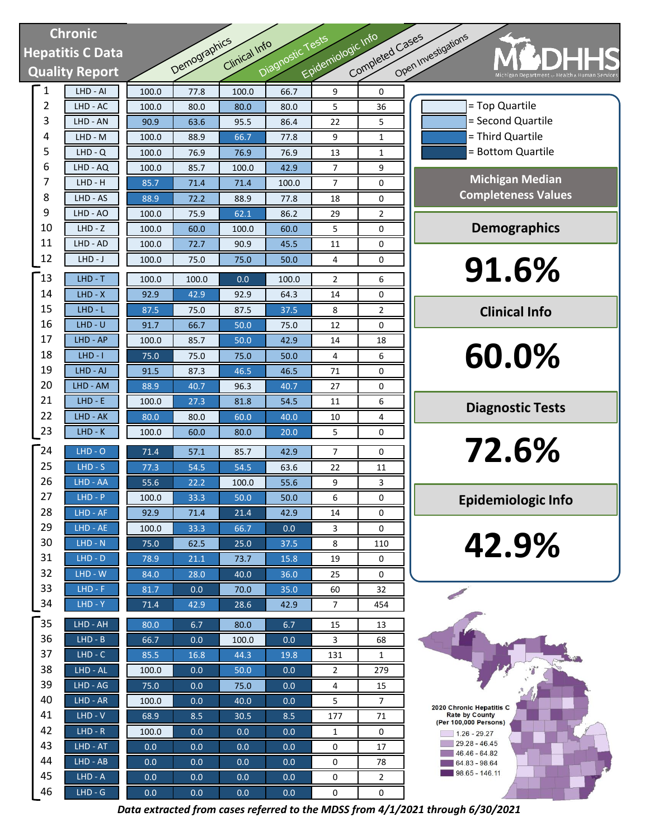# **Chronic Hepatitis C Data Quality Report**

| <b>Chronic</b>         |                       |       |              |               |                  | Epidemiologic Info |                 |          |
|------------------------|-----------------------|-------|--------------|---------------|------------------|--------------------|-----------------|----------|
| <b>epatitis C Data</b> |                       |       |              | Clinical Info |                  |                    |                 |          |
|                        | <b>Quality Report</b> |       | Demographics |               | Diagnostic Tests |                    | Completed Cases | Open Inv |
| 1                      | LHD - AI              | 100.0 | 77.8         | 100.0         | 66.7             | 9                  | 0               |          |
| 2                      | LHD - AC              | 100.0 | 80.0         | 80.0          | 80.0             | 5                  | 36              |          |
| 3                      | LHD - AN              | 90.9  | 63.6         | 95.5          | 86.4             | 22                 | 5               |          |
| 4                      | LHD - M               | 100.0 | 88.9         | 66.7          | 77.8             | 9                  | 1               |          |
| 5                      | $LHD - Q$             | 100.0 | 76.9         | 76.9          | 76.9             | 13                 | 1               |          |
| 6                      | LHD - AQ              | 100.0 | 85.7         | 100.0         | 42.9             | 7                  | 9               |          |
| 7                      | LHD - H               | 85.7  | 71.4         | 71.4          | 100.0            | 7                  | 0               |          |
| 8                      | LHD - AS              | 88.9  | 72.2         | 88.9          | 77.8             | 18                 | 0               |          |
| 9                      | LHD - AO              | 100.0 | 75.9         | 62.1          | 86.2             | 29                 | $\overline{2}$  |          |
| 10                     | $LHD - Z$             | 100.0 | 60.0         | 100.0         | 60.0             | 5                  | 0               |          |
| 11                     | LHD - AD              | 100.0 | 72.7         | 90.9          | 45.5             | 11                 | 0               |          |
| 12                     | LHD - J               | 100.0 | 75.0         | 75.0          | 50.0             | 4                  | 0               |          |
| 13                     | $LHD - T$             | 100.0 | 100.0        | 0.0           | 100.0            | 2                  | 6               |          |
| 14                     | $LHD - X$             | 92.9  | 42.9         | 92.9          | 64.3             | 14                 | 0               |          |
| 15                     | $LHD - L$             | 87.5  | 75.0         | 87.5          | 37.5             | 8                  | 2               |          |
| 16                     | $LHD - U$             | 91.7  | 66.7         | 50.0          | 75.0             | 12                 | 0               |          |
| 17                     | LHD - AP              | 100.0 | 85.7         | 50.0          | 42.9             | 14                 | 18              |          |
| 18                     | $LHD - I$             | 75.0  | 75.0         | 75.0          | 50.0             | 4                  | 6               |          |
| 19                     | LHD - AJ              | 91.5  | 87.3         | 46.5          | 46.5             | 71                 | 0               |          |
| 20                     | LHD - AM              | 88.9  | 40.7         | 96.3          | 40.7             | 27                 | 0               |          |
| 21                     | $LHD - E$             | 100.0 | 27.3         | 81.8          | 54.5             | 11                 | 6               |          |
| 22                     | LHD - AK              | 80.0  | 80.0         | 60.0          | 40.0             | 10                 | 4               |          |
| 23                     | $LHD-K$               | 100.0 | 60.0         | 80.0          | 20.0             | 5                  | 0               |          |
| 24                     | $LHD - O$             | 71.4  | 57.1         | 85.7          | 42.9             | 7                  | 0               |          |
| 25                     | $LHD - S$             | 77.3  | 54.5         | 54.5          | 63.6             | 22                 | 11              |          |
| 26                     | LHD - AA              | 55.6  | 22.2         | 100.0         | 55.6             | 9                  | 3               |          |
| 27                     | $LHD - P$             | 100.0 | 33.3         | 50.0          | 50.0             | 6                  | 0               |          |
| 28                     | LHD - AF              | 92.9  | 71.4         | 21.4          | 42.9             | 14                 | 0               |          |
| 29                     | LHD - AE              | 100.0 | 33.3         | 66.7          | 0.0              | 3                  | 0               |          |
| 30                     | $LHD - N$             | 75.0  | 62.5         | 25.0          | 37.5             | 8                  | 110             |          |
| 31                     | $LHD - D$             | 78.9  | 21.1         | 73.7          | 15.8             | 19                 | 0               |          |
| 32                     | $LHD - W$             | 84.0  | 28.0         | 40.0          | 36.0             | 25                 | 0               |          |
| 33                     | $LHD - F$             | 81.7  | 0.0          | 70.0          | 35.0             | 60                 | 32              |          |
| 34                     | $LHD - Y$             | 71.4  | 42.9         | 28.6          | 42.9             | 7                  | 454             |          |
| 35                     | LHD - AH              | 80.0  | 6.7          | 80.0          | 6.7              | 15                 | 13              |          |
| 36                     | $LHD - B$             | 66.7  | 0.0          | 100.0         | 0.0              | 3                  | 68              |          |
| 37                     | $LHD - C$             | 85.5  | 16.8         | 44.3          | 19.8             | 131                | 1               |          |
| 38                     | LHD - AL              | 100.0 | 0.0          | 50.0          | 0.0              | $\overline{2}$     | 279             |          |
| 39                     | LHD - AG              | 75.0  | 0.0          | 75.0          | 0.0              | 4                  | 15              |          |
| 40                     | LHD - AR              | 100.0 | 0.0          | 40.0          | 0.0              | 5                  | 7               |          |
| 41                     | $LHD - V$             | 68.9  | 8.5          | 30.5          | 8.5              | 177                | 71              |          |
| 42                     | $LHD - R$             | 100.0 | 0.0          | 0.0           | 0.0              | 1                  | 0               |          |
| 43                     | LHD - AT              | 0.0   | 0.0          | 0.0           | 0.0              | 0                  | 17              |          |
| 44                     | LHD - AB              | 0.0   | 0.0          | 0.0           | 0.0              | 0                  | 78              |          |
| 45                     | $LHD - A$             | 0.0   | 0.0          | 0.0           | 0.0              | 0                  | 2               |          |
| 46                     | $LHD - G$             | 0.0   | $0.0\,$      | 0.0           | $0.0\,$          | 0                  | 0               |          |

ven Investigations = Bottom Quartile = Third Quartile = Second Quartile = Top Quartile **91.6% 60.0% 72.6% 42.9% Michigan Median Completeness Values Demographics Clinical Info Diagnostic Tests Epidemiologic Info**



*Data extracted from cases referred to the MDSS from 4/1/2021 through 6/30/2021*